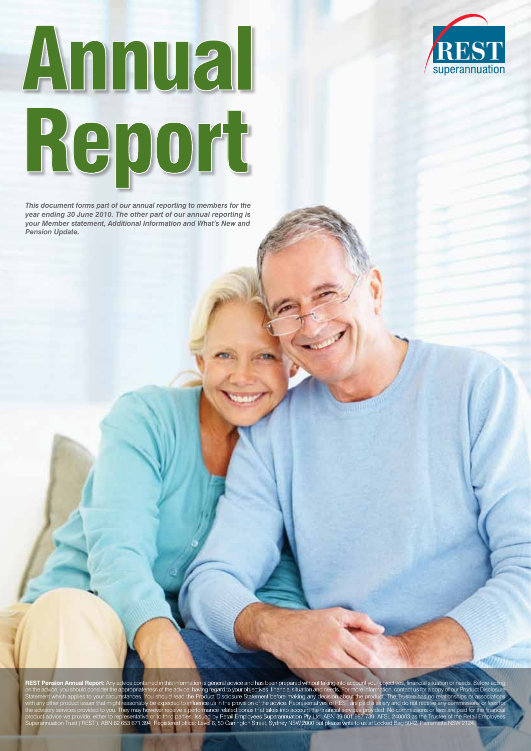

*This document forms part of our annual reporting to members for the year ending 30 June 2010. The other part of our annual reporting is your Member statement, Additional Information and What's New and Pension Update.*



REST Pension Annual Report: Any advice contained in this information is general advice and has been prepared without taking into account your objectives, financial situation or needs. Before opropriateness of the advice, having regard to your objectives, financial situation and needs. For more information, contact us for a copy of our P stances. You should read the Product Disclosure Statement before making any ce us in the provision of the ad ance related bonus that takes into account the product advice we provide, either to representative or to third parties. Issued by Retail Employees Superannuation Pty Ltd, ABN 39 001 987 739, AFSL 240003 as the Trustee of the Retail Employees<br>Superannuation Trust ('REST

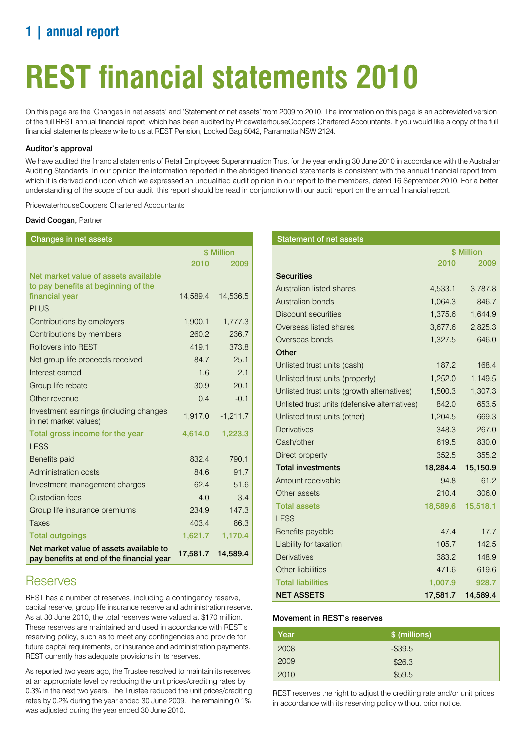# **1 | annual report**

# **REST financial statements 2010**

On this page are the 'Changes in net assets' and 'Statement of net assets' from 2009 to 2010. The information on this page is an abbreviated version of the full REST annual financial report, which has been audited by PricewaterhouseCoopers Chartered Accountants. If you would like a copy of the full financial statements please write to us at REST Pension, Locked Bag 5042, Parramatta NSW 2124.

### Auditor's approval

We have audited the financial statements of Retail Employees Superannuation Trust for the year ending 30 June 2010 in accordance with the Australian Auditing Standards. In our opinion the information reported in the abridged financial statements is consistent with the annual financial report from which it is derived and upon which we expressed an unqualified audit opinion in our report to the members, dated 16 September 2010. For a better understanding of the scope of our audit, this report should be read in conjunction with our audit report on the annual financial report.

PricewaterhouseCoopers Chartered Accountants

### David Coogan, Partner

| Changes in net assets                                                                |            |            |  |
|--------------------------------------------------------------------------------------|------------|------------|--|
|                                                                                      | \$ Million |            |  |
|                                                                                      | 2010       | 2009       |  |
| Net market value of assets available                                                 |            |            |  |
| to pay benefits at beginning of the                                                  |            |            |  |
| financial year                                                                       | 14,589.4   | 14,536.5   |  |
| <b>PLUS</b>                                                                          |            |            |  |
| Contributions by employers                                                           | 1,900.1    | 1,777.3    |  |
| Contributions by members                                                             | 260.2      | 236.7      |  |
| <b>Rollovers into REST</b>                                                           | 419.1      | 373.8      |  |
| Net group life proceeds received                                                     | 84.7       | 25.1       |  |
| Interest earned                                                                      | 1.6        | 2.1        |  |
| Group life rebate                                                                    | 30.9       | 20.1       |  |
| Other revenue                                                                        | 0.4        | $-0.1$     |  |
| Investment earnings (including changes<br>in net market values)                      | 1,917.0    | $-1,211.7$ |  |
| Total gross income for the year                                                      | 4,614.0    | 1,223.3    |  |
| <b>LESS</b>                                                                          |            |            |  |
| Benefits paid                                                                        | 832.4      | 790.1      |  |
| Administration costs                                                                 | 84.6       | 91.7       |  |
| Investment management charges                                                        | 62.4       | 51.6       |  |
| Custodian fees                                                                       | 4.0        | 3.4        |  |
| Group life insurance premiums                                                        | 234.9      | 147.3      |  |
| Taxes                                                                                | 403.4      | 86.3       |  |
| <b>Total outgoings</b>                                                               | 1,621.7    | 1,170.4    |  |
| Net market value of assets available to<br>pay benefits at end of the financial year | 17,581.7   | 14,589.4   |  |

### **Reserves**

REST has a number of reserves, including a contingency reserve, capital reserve, group life insurance reserve and administration reserve. As at 30 June 2010, the total reserves were valued at \$170 million. These reserves are maintained and used in accordance with REST's reserving policy, such as to meet any contingencies and provide for future capital requirements, or insurance and administration payments. REST currently has adequate provisions in its reserves.

As reported two years ago, the Trustee resolved to maintain its reserves at an appropriate level by reducing the unit prices/crediting rates by 0.3% in the next two years. The Trustee reduced the unit prices/crediting rates by 0.2% during the year ended 30 June 2009. The remaining 0.1% was adjusted during the year ended 30 June 2010.

| <b>Statement of net assets</b>                |            |          |  |  |
|-----------------------------------------------|------------|----------|--|--|
|                                               | \$ Million |          |  |  |
|                                               | 2010       | 2009     |  |  |
| <b>Securities</b>                             |            |          |  |  |
| Australian listed shares                      | 4,533.1    | 3,787.8  |  |  |
| Australian bonds                              | 1,064.3    | 846.7    |  |  |
| <b>Discount securities</b>                    | 1,375.6    | 1,644.9  |  |  |
| Overseas listed shares                        | 3,677.6    | 2,825.3  |  |  |
| Overseas bonds                                | 1,327.5    | 646.0    |  |  |
| Other                                         |            |          |  |  |
| Unlisted trust units (cash)                   | 187.2      | 168.4    |  |  |
| Unlisted trust units (property)               | 1,252.0    | 1,149.5  |  |  |
| Unlisted trust units (growth alternatives)    | 1,500.3    | 1,307.3  |  |  |
| Unlisted trust units (defensive alternatives) | 842.0      | 653.5    |  |  |
| Unlisted trust units (other)                  | 1,204.5    | 669.3    |  |  |
| <b>Derivatives</b>                            | 348.3      | 267.0    |  |  |
| Cash/other                                    | 619.5      | 830.0    |  |  |
| Direct property                               | 352.5      | 355.2    |  |  |
| <b>Total investments</b>                      | 18,284.4   | 15,150.9 |  |  |
| Amount receivable                             | 94.8       | 61.2     |  |  |
| Other assets                                  | 210.4      | 306.0    |  |  |
| <b>Total assets</b>                           | 18,589.6   | 15,518.1 |  |  |
| <b>LESS</b>                                   |            |          |  |  |
| Benefits payable                              | 47.4       | 17.7     |  |  |
| Liability for taxation                        | 105.7      | 142.5    |  |  |
| <b>Derivatives</b>                            | 383.2      | 148.9    |  |  |
| Other liabilities                             | 471.6      | 619.6    |  |  |
| <b>Total liabilities</b>                      | 1,007.9    | 928.7    |  |  |
| <b>NET ASSETS</b>                             | 17,581.7   | 14,589.4 |  |  |

### Movement in REST's reserves

| Year | \$ (millions) |
|------|---------------|
| 2008 | $-$ \$39.5    |
| 2009 | \$26.3        |
| 2010 | \$59.5        |

REST reserves the right to adjust the crediting rate and/or unit prices in accordance with its reserving policy without prior notice.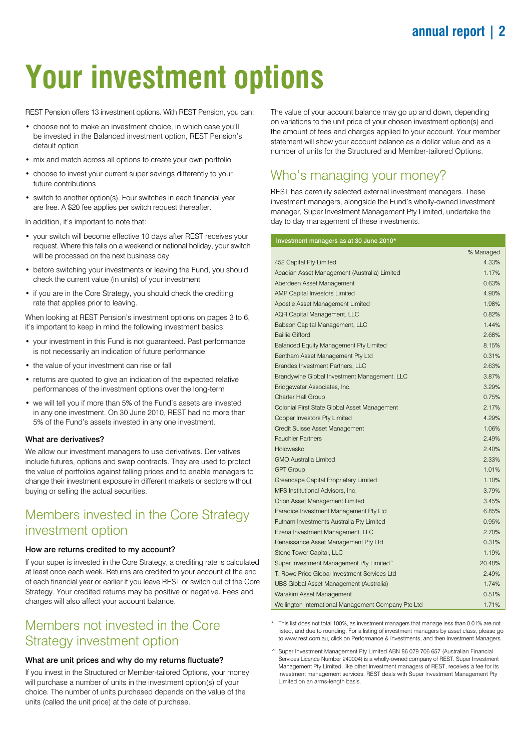# **Your investment options**

REST Pension offers 13 investment options. With REST Pension, you can:

- choose not to make an investment choice, in which case you'll be invested in the Balanced investment option, REST Pension's default option
- mix and match across all options to create your own portfolio
- choose to invest your current super savings differently to your future contributions
- switch to another option(s). Four switches in each financial year are free. A \$20 fee applies per switch request thereafter.

In addition, it's important to note that:

- your switch will become effective 10 days after REST receives your request. Where this falls on a weekend or national holiday, your switch will be processed on the next business day
- before switching your investments or leaving the Fund, you should check the current value (in units) of your investment
- if you are in the Core Strategy, you should check the crediting rate that applies prior to leaving.

When looking at REST Pension's investment options on pages 3 to 6, it's important to keep in mind the following investment basics:

- your investment in this Fund is not guaranteed. Past performance is not necessarily an indication of future performance
- the value of your investment can rise or fall
- returns are quoted to give an indication of the expected relative performances of the investment options over the long-term
- we will tell you if more than 5% of the Fund's assets are invested in any one investment. On 30 June 2010, REST had no more than 5% of the Fund's assets invested in any one investment.

### What are derivatives?

We allow our investment managers to use derivatives. Derivatives include futures, options and swap contracts. They are used to protect the value of portfolios against falling prices and to enable managers to change their investment exposure in different markets or sectors without buying or selling the actual securities.

### Members invested in the Core Strategy investment option

### How are returns credited to my account?

If your super is invested in the Core Strategy, a crediting rate is calculated at least once each week. Returns are credited to your account at the end of each financial year or earlier if you leave REST or switch out of the Core Strategy. Your credited returns may be positive or negative. Fees and charges will also affect your account balance.

### Members not invested in the Core Strategy investment option

### What are unit prices and why do my returns fluctuate?

If you invest in the Structured or Member-tailored Options, your money will purchase a number of units in the investment option(s) of your choice. The number of units purchased depends on the value of the units (called the unit price) at the date of purchase.

The value of your account balance may go up and down, depending on variations to the unit price of your chosen investment option(s) and the amount of fees and charges applied to your account. Your member statement will show your account balance as a dollar value and as a number of units for the Structured and Member-tailored Options.

# Who's managing your money?

REST has carefully selected external investment managers. These investment managers, alongside the Fund's wholly-owned investment manager, Super Investment Management Pty Limited, undertake the day to day management of these investments.

#### Investment managers as at 30 June 2010\*

|                                                     | % Managed |
|-----------------------------------------------------|-----------|
| 452 Capital Pty Limited                             | 4.33%     |
| Acadian Asset Management (Australia) Limited        | 1.17%     |
| Aberdeen Asset Management                           | 0.63%     |
| <b>AMP Capital Investors Limited</b>                | 4.90%     |
| Apostle Asset Management Limited                    | 1.98%     |
| <b>AQR Capital Management, LLC</b>                  | 0.82%     |
| Babson Capital Management, LLC                      | 1.44%     |
| <b>Baillie Gifford</b>                              | 2.68%     |
| Balanced Equity Management Pty Limited              | 8.15%     |
| Bentham Asset Management Pty Ltd                    | 0.31%     |
| <b>Brandes Investment Partners, LLC</b>             | 2.63%     |
| Brandywine Global Investment Management, LLC        | 3.87%     |
| Bridgewater Associates, Inc.                        | 3.29%     |
| <b>Charter Hall Group</b>                           | 0.75%     |
| Colonial First State Global Asset Management        | 2.17%     |
| Cooper Investors Pty Limited                        | 4.29%     |
| Credit Suisse Asset Management                      | 1.06%     |
| <b>Fauchier Partners</b>                            | 2.49%     |
| Holowesko                                           | 2.40%     |
| <b>GMO Australia Limited</b>                        | 2.33%     |
| <b>GPT Group</b>                                    | 1.01%     |
| Greencape Capital Proprietary Limited               | 1.10%     |
| MFS Institutional Advisors, Inc.                    | 3.79%     |
| Orion Asset Management Limited                      | 3.45%     |
| Paradice Investment Management Pty Ltd              | 6.85%     |
| Putnam Investments Australia Pty Limited            | 0.95%     |
| Pzena Investment Management, LLC                    | 2.70%     |
| Renaissance Asset Management Pty Ltd                | 0.31%     |
| Stone Tower Capital, LLC                            | 1.19%     |
| Super Investment Management Pty Limited^            | 20.48%    |
| T. Rowe Price Global Investment Services Ltd        | 2.49%     |
| UBS Global Asset Management (Australia)             | 1.74%     |
| Warakirri Asset Management                          | 0.51%     |
| Wellington International Management Company Pte Ltd | 1.71%     |

- This list does not total 100%, as investment managers that manage less than 0.01% are not listed, and due to rounding. For a listing of investment managers by asset class, please go to www.rest.com.au, click on Performance & Investments, and then Investment Managers.
- ^ Super Investment Management Pty Limited ABN 86 079 706 657 (Australian Financial Services Licence Number 240004) is a wholly-owned company of REST. Super Investment Management Pty Limited, like other investment managers of REST, receives a fee for its investment management services. REST deals with Super Investment Management Pty Limited on an arms-length basis.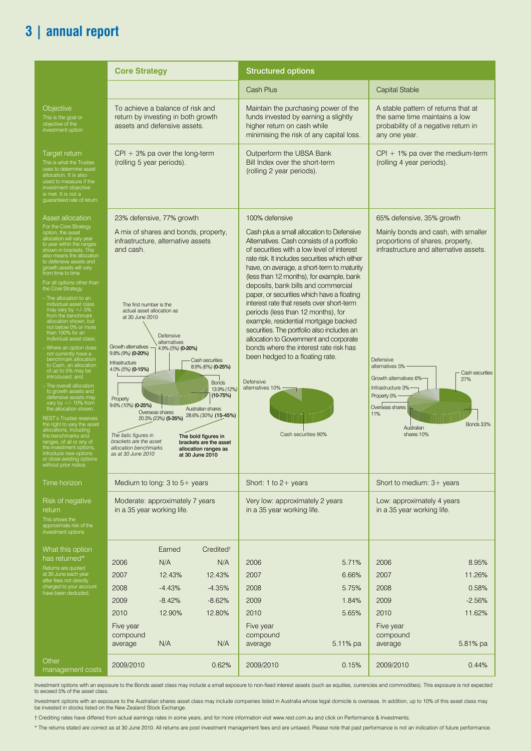# **3 | annual report**

|                                                                                                                                                                                                                                                                                                                                                                                                                                                                                                                                                                                                                                                                                                                                                                                                                                                                                                                                                                                                              | <b>Core Strategy</b><br><b>Structured options</b>                                                                                                                                                                                                                                                                                                                                                                                                                 |                                                           |                                                                                                                                                                                                                             |                                                                                         |                                                                                                                                                                                                                                                                                                                                                                                                                                                                                                                                                                                                                                                            |                                                                                                                                                                                                                                                                                                        |                                                |
|--------------------------------------------------------------------------------------------------------------------------------------------------------------------------------------------------------------------------------------------------------------------------------------------------------------------------------------------------------------------------------------------------------------------------------------------------------------------------------------------------------------------------------------------------------------------------------------------------------------------------------------------------------------------------------------------------------------------------------------------------------------------------------------------------------------------------------------------------------------------------------------------------------------------------------------------------------------------------------------------------------------|-------------------------------------------------------------------------------------------------------------------------------------------------------------------------------------------------------------------------------------------------------------------------------------------------------------------------------------------------------------------------------------------------------------------------------------------------------------------|-----------------------------------------------------------|-----------------------------------------------------------------------------------------------------------------------------------------------------------------------------------------------------------------------------|-----------------------------------------------------------------------------------------|------------------------------------------------------------------------------------------------------------------------------------------------------------------------------------------------------------------------------------------------------------------------------------------------------------------------------------------------------------------------------------------------------------------------------------------------------------------------------------------------------------------------------------------------------------------------------------------------------------------------------------------------------------|--------------------------------------------------------------------------------------------------------------------------------------------------------------------------------------------------------------------------------------------------------------------------------------------------------|------------------------------------------------|
|                                                                                                                                                                                                                                                                                                                                                                                                                                                                                                                                                                                                                                                                                                                                                                                                                                                                                                                                                                                                              |                                                                                                                                                                                                                                                                                                                                                                                                                                                                   |                                                           |                                                                                                                                                                                                                             | Cash Plus                                                                               |                                                                                                                                                                                                                                                                                                                                                                                                                                                                                                                                                                                                                                                            | <b>Capital Stable</b>                                                                                                                                                                                                                                                                                  |                                                |
| Objective<br>This is the goal or<br>objective of the<br>investment option                                                                                                                                                                                                                                                                                                                                                                                                                                                                                                                                                                                                                                                                                                                                                                                                                                                                                                                                    | To achieve a balance of risk and<br>return by investing in both growth<br>assets and defensive assets.                                                                                                                                                                                                                                                                                                                                                            |                                                           |                                                                                                                                                                                                                             | higher return on cash while                                                             | Maintain the purchasing power of the<br>funds invested by earning a slightly<br>minimising the risk of any capital loss.                                                                                                                                                                                                                                                                                                                                                                                                                                                                                                                                   | A stable pattern of returns that at<br>the same time maintains a low<br>probability of a negative return in<br>any one year.                                                                                                                                                                           |                                                |
| Target return<br>This is what the Trustee<br>ses to determine asset<br>allocation. It is also<br>used to measure if the<br>investment objective<br>is met. It is not a<br>guaranteed rate of return                                                                                                                                                                                                                                                                                                                                                                                                                                                                                                                                                                                                                                                                                                                                                                                                          | $CPI + 3%$ pa over the long-term<br>(rolling 5 year periods).                                                                                                                                                                                                                                                                                                                                                                                                     |                                                           |                                                                                                                                                                                                                             | Outperform the UBSA Bank<br>Bill Index over the short-term<br>(rolling 2 year periods). |                                                                                                                                                                                                                                                                                                                                                                                                                                                                                                                                                                                                                                                            | $CPI + 1\%$ pa over the medium-term<br>(rolling 4 year periods).                                                                                                                                                                                                                                       |                                                |
| Asset allocation<br>For the Core Strategy<br>pption, the asset<br>llocation will vary year<br>o year within the ranges<br>shown in brackets. This<br>also means the allocation<br>to defensive assets and<br>growth assets will vary<br>from time to time.<br>For all options other than<br>he Core Strategy:<br>The allocation to an<br>individual asset class<br>may vary by +/- 5%<br>from the benchmark<br>allocation shown, but<br>not below 0% or more<br>than 100% for an<br>individual asset class<br>Where an option does<br>not currently have a<br>benchmark allocation<br>to Cash, an allocation<br>of up to 5% may be<br>introduced; and<br>The overall allocation<br>to growth assets and<br>defensive assets may<br>vary by +/- 10% from<br>the allocation shown.<br><b>REST's Trustee reserves</b><br>the right to vary the ass<br>Illocations, including<br>the benchmarks and<br>anges, of all or any of<br>the investment options<br>introduce new options<br><i>ithout prior notice.</i> | 23% defensive, 77% growth<br>A mix of shares and bonds, property,<br>infrastructure, alternative assets<br>and cash.<br>The first number is the<br>actual asset allocation as<br>at 30 June 2010<br>Growth alternatives - 4.9% (5%) (0-20%)<br>$9.8\%$ (9%) (0-20%)<br>Infrastructure<br>4.0% (5%) (0-15%)<br>Property<br>9.6% (10%) (0-25%)<br>Overseas shares<br>The italic figures in<br>brackets are the asset<br>allocation benchmarks<br>as at 30 June 2010 | Defensive<br>alternatives<br>20.3% (23%) (5-35%)          | - Cash securities<br>8.9% (6%) (0-25%)<br><b>Bonds</b><br>13.9% (12%<br>$(10-75%)$<br>Australian shares<br>28.6% (30%) (15-45%)<br>The bold figures in<br>brackets are the asset<br>allocation ranges as<br>at 30 June 2010 | 100% defensive<br>been hedged to a floating rate.<br>Defensive<br>alternatives 10% ·    | Cash plus a small allocation to Defensive<br>Alternatives. Cash consists of a portfolio<br>of securities with a low level of interest<br>rate risk. It includes securities which either<br>have, on average, a short-term to maturity<br>(less than 12 months), for example, bank<br>deposits, bank bills and commercial<br>paper, or securities which have a floating<br>interest rate that resets over short-term<br>periods (less than 12 months), for<br>example, residential mortgage backed<br>securities. The portfolio also includes an<br>allocation to Government and corporate<br>bonds where the interest rate risk has<br>Cash securities 90% | 65% defensive, 35% growth<br>Mainly bonds and cash, with smaller<br>proportions of shares, property,<br>infrastructure and alternative assets.<br>Defensive<br>alternatives 5% -<br>Growth alternatives 6%-<br>Infrastructure 3%-<br>Property 5%-<br>Overseas shares<br>1%<br>Australian<br>shares 10% | - Cash securities<br>27%<br>Bonds 33%          |
| Time horizon                                                                                                                                                                                                                                                                                                                                                                                                                                                                                                                                                                                                                                                                                                                                                                                                                                                                                                                                                                                                 | Medium to long: $3$ to $5+$ years                                                                                                                                                                                                                                                                                                                                                                                                                                 |                                                           |                                                                                                                                                                                                                             | Short: 1 to $2+$ years                                                                  |                                                                                                                                                                                                                                                                                                                                                                                                                                                                                                                                                                                                                                                            | Short to medium: 3+ years                                                                                                                                                                                                                                                                              |                                                |
| Risk of negative<br>return<br>This shows the<br>approximate risk of the<br>investment options                                                                                                                                                                                                                                                                                                                                                                                                                                                                                                                                                                                                                                                                                                                                                                                                                                                                                                                | Moderate: approximately 7 years<br>in a 35 year working life.                                                                                                                                                                                                                                                                                                                                                                                                     |                                                           |                                                                                                                                                                                                                             | in a 35 year working life.                                                              | Very low: approximately 2 years                                                                                                                                                                                                                                                                                                                                                                                                                                                                                                                                                                                                                            | Low: approximately 4 years<br>in a 35 year working life.                                                                                                                                                                                                                                               |                                                |
| What this option<br>has returned*<br>Returns are quoted<br>at 30 June each year<br>fter fees not directly<br>charged to your account<br>ave been deducted.                                                                                                                                                                                                                                                                                                                                                                                                                                                                                                                                                                                                                                                                                                                                                                                                                                                   | 2006<br>2007<br>2008<br>2009<br>2010<br>Five year<br>compound                                                                                                                                                                                                                                                                                                                                                                                                     | Earned<br>N/A<br>12.43%<br>$-4.43%$<br>$-8.42%$<br>12.90% | Credited <sup>t</sup><br>N/A<br>12.43%<br>$-4.35%$<br>$-8.62%$<br>12.80%                                                                                                                                                    | 2006<br>2007<br>2008<br>2009<br>2010<br>Five year<br>compound                           | 5.71%<br>6.66%<br>5.75%<br>1.84%<br>5.65%                                                                                                                                                                                                                                                                                                                                                                                                                                                                                                                                                                                                                  | 2006<br>2007<br>2008<br>2009<br>2010<br>Five year<br>compound                                                                                                                                                                                                                                          | 8.95%<br>11.26%<br>0.58%<br>$-2.56%$<br>11.62% |
| Other<br>management costs                                                                                                                                                                                                                                                                                                                                                                                                                                                                                                                                                                                                                                                                                                                                                                                                                                                                                                                                                                                    | average<br>2009/2010                                                                                                                                                                                                                                                                                                                                                                                                                                              | N/A                                                       | N/A<br>0.62%                                                                                                                                                                                                                | average<br>2009/2010                                                                    | 5.11% pa<br>0.15%                                                                                                                                                                                                                                                                                                                                                                                                                                                                                                                                                                                                                                          | average<br>2009/2010                                                                                                                                                                                                                                                                                   | 5.81% pa<br>0.44%                              |

Investment options with an exposure to the Bonds asset class may include a small exposure to non-fixed interest assets (such as equities, currencies and commodities). This exposure is not expected to exceed 5% of the asset class.

Investment options with an exposure to the Australian shares asset class may include companies listed in Australia whose legal domicile is overseas. In addition, up to 10% of this asset class may<br>be invested in stocks list

† Crediting rates have differed from actual earnings rates in some years, and for more information visit www.rest.com.au and click on Performance & Investments.

\* The returns stated are correct as at 30 June 2010. All returns are post investment management fees and are untaxed. Please note that past performance is not an indication of future performance.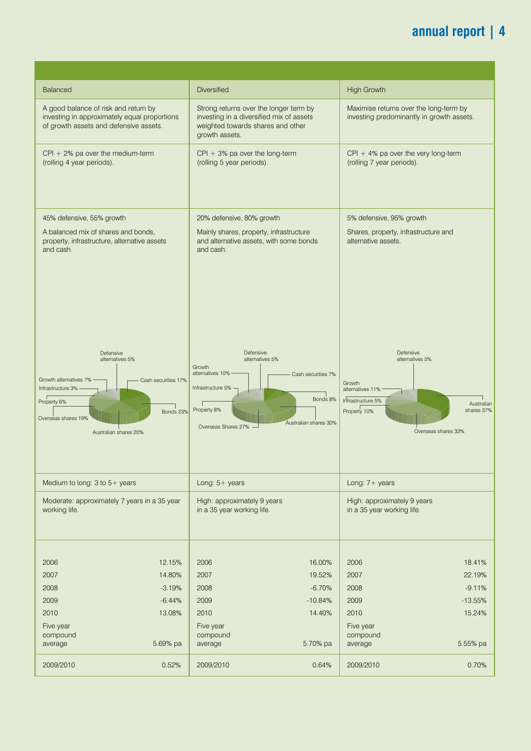# **annual report | 4**

| Balanced                                                                                                                                                                             | Diversified                                                                                                                                                                                  | <b>High Growth</b>                                                                                                                                 |
|--------------------------------------------------------------------------------------------------------------------------------------------------------------------------------------|----------------------------------------------------------------------------------------------------------------------------------------------------------------------------------------------|----------------------------------------------------------------------------------------------------------------------------------------------------|
| A good balance of risk and return by<br>investing in approximately equal proportions<br>of growth assets and defensive assets.                                                       | Strong returns over the longer term by<br>investing in a diversified mix of assets<br>weighted towards shares and other<br>growth assets.                                                    | Maximise returns over the long-term by<br>investing predominantly in growth assets.                                                                |
| $CPI + 2%$ pa over the medium-term                                                                                                                                                   | $CPI + 3%$ pa over the long-term                                                                                                                                                             | $CPI + 4%$ pa over the very long-term                                                                                                              |
| (rolling 4 year periods).                                                                                                                                                            | (rolling 5 year periods).                                                                                                                                                                    | (rolling 7 year periods).                                                                                                                          |
| 45% defensive, 55% growth                                                                                                                                                            | 20% defensive, 80% growth                                                                                                                                                                    | 5% defensive, 95% growth                                                                                                                           |
| A balanced mix of shares and bonds,<br>property, infrastructure, alternative assets<br>and cash.                                                                                     | Mainly shares, property, infrastructure<br>and alternative assets, with some bonds<br>and cash.                                                                                              | Shares, property, infrastructure and<br>alternative assets.                                                                                        |
|                                                                                                                                                                                      |                                                                                                                                                                                              |                                                                                                                                                    |
| Defensive<br>alternatives 5%<br>Growth alternatives 7% -<br>- Cash securities 17%<br>Infrastructure 3% -<br>Property 6%<br>Bonds 23%<br>Overseas shares 19%<br>Australian shares 20% | Defensive<br>alternatives 5%<br>Growth<br>alternatives 10% -<br>- Cash securities 7%<br>Infrastructure 5% $-$<br>Bonds 8%<br>Property 8%<br>Australian shares 30%<br>Overseas Shares 27% $-$ | Defensive<br>alternatives 5%<br>Growth<br>alternatives 11%<br>Infrastructure 5%<br>Australian<br>shares 37%<br>Property 10%<br>Overseas shares 32% |
| Medium to long: $3$ to $5+$ years                                                                                                                                                    | Long: $5+$ years                                                                                                                                                                             | Long: $7 + \text{years}$                                                                                                                           |
| Moderate: approximately 7 years in a 35 year                                                                                                                                         | High: approximately 9 years                                                                                                                                                                  | High: approximately 9 years                                                                                                                        |
| working life.                                                                                                                                                                        | in a 35 year working life.                                                                                                                                                                   | in a 35 year working life.                                                                                                                         |
|                                                                                                                                                                                      |                                                                                                                                                                                              |                                                                                                                                                    |
| 2006                                                                                                                                                                                 | 2006                                                                                                                                                                                         | 2006                                                                                                                                               |
| 12.15%                                                                                                                                                                               | 16.00%                                                                                                                                                                                       | 18.41%                                                                                                                                             |
| 2007                                                                                                                                                                                 | 2007                                                                                                                                                                                         | 2007                                                                                                                                               |
| 14.80%                                                                                                                                                                               | 19.52%                                                                                                                                                                                       | 22.19%                                                                                                                                             |
| 2008                                                                                                                                                                                 | 2008                                                                                                                                                                                         | $-9.11%$                                                                                                                                           |
| $-3.19%$                                                                                                                                                                             | $-6.70%$                                                                                                                                                                                     | 2008                                                                                                                                               |
| 2009                                                                                                                                                                                 | 2009                                                                                                                                                                                         | $-13.55%$                                                                                                                                          |
| $-6.44%$                                                                                                                                                                             | $-10.84%$                                                                                                                                                                                    | 2009                                                                                                                                               |
| 2010                                                                                                                                                                                 | 2010                                                                                                                                                                                         | 2010                                                                                                                                               |
| 13.08%                                                                                                                                                                               | 14.40%                                                                                                                                                                                       | 15.24%                                                                                                                                             |
| Five year                                                                                                                                                                            | Five year                                                                                                                                                                                    | Five year                                                                                                                                          |
| compound                                                                                                                                                                             | compound                                                                                                                                                                                     | compound                                                                                                                                           |
| 5.69% pa                                                                                                                                                                             | 5.70% pa                                                                                                                                                                                     | 5.55% pa                                                                                                                                           |
| average                                                                                                                                                                              | average                                                                                                                                                                                      | average                                                                                                                                            |
| 2009/2010                                                                                                                                                                            | 2009/2010                                                                                                                                                                                    | 0.70%                                                                                                                                              |
| 0.52%                                                                                                                                                                                | 0.64%                                                                                                                                                                                        | 2009/2010                                                                                                                                          |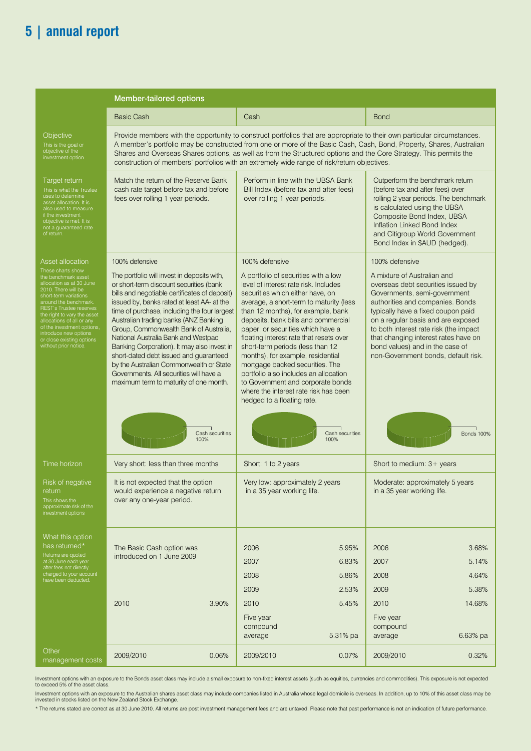# **5 | annual report**

|                                                                                                                                                                                                                                                                                                                                            | Member-tailored options                                                                                                                                                                                                                                                                                                                                                                                                                                                                                                                                                                                                               |                                                                                                                                                                                                                                                                                                                                                                                                                                                                                                                                                                                                                                         |                                                                                                                                                                                                                                                                                                                                                                                                                      |  |  |  |  |  |  |  |
|--------------------------------------------------------------------------------------------------------------------------------------------------------------------------------------------------------------------------------------------------------------------------------------------------------------------------------------------|---------------------------------------------------------------------------------------------------------------------------------------------------------------------------------------------------------------------------------------------------------------------------------------------------------------------------------------------------------------------------------------------------------------------------------------------------------------------------------------------------------------------------------------------------------------------------------------------------------------------------------------|-----------------------------------------------------------------------------------------------------------------------------------------------------------------------------------------------------------------------------------------------------------------------------------------------------------------------------------------------------------------------------------------------------------------------------------------------------------------------------------------------------------------------------------------------------------------------------------------------------------------------------------------|----------------------------------------------------------------------------------------------------------------------------------------------------------------------------------------------------------------------------------------------------------------------------------------------------------------------------------------------------------------------------------------------------------------------|--|--|--|--|--|--|--|
|                                                                                                                                                                                                                                                                                                                                            | <b>Basic Cash</b>                                                                                                                                                                                                                                                                                                                                                                                                                                                                                                                                                                                                                     | Cash                                                                                                                                                                                                                                                                                                                                                                                                                                                                                                                                                                                                                                    | <b>Bond</b>                                                                                                                                                                                                                                                                                                                                                                                                          |  |  |  |  |  |  |  |
| Objective<br>This is the goal or<br>bjective of the<br>nvestment option                                                                                                                                                                                                                                                                    | Provide members with the opportunity to construct portfolios that are appropriate to their own particular circumstances.<br>A member's portfolio may be constructed from one or more of the Basic Cash, Cash, Bond, Property, Shares, Australian<br>Shares and Overseas Shares options, as well as from the Structured options and the Core Strategy. This permits the<br>construction of members' portfolios with an extremely wide range of risk/return objectives.                                                                                                                                                                 |                                                                                                                                                                                                                                                                                                                                                                                                                                                                                                                                                                                                                                         |                                                                                                                                                                                                                                                                                                                                                                                                                      |  |  |  |  |  |  |  |
| Target return<br>his is what the Trustee<br>ses to determine<br>sset allocation. It is<br>so used to measure<br>f the investment<br>objective is met. It is<br>not a guaranteed rate<br>of return.                                                                                                                                         | Match the return of the Reserve Bank<br>cash rate target before tax and before<br>fees over rolling 1 year periods.                                                                                                                                                                                                                                                                                                                                                                                                                                                                                                                   | Perform in line with the UBSA Bank<br>Bill Index (before tax and after fees)<br>over rolling 1 year periods.                                                                                                                                                                                                                                                                                                                                                                                                                                                                                                                            | Outperform the benchmark return<br>(before tax and after fees) over<br>rolling 2 year periods. The benchmark<br>is calculated using the UBSA<br>Composite Bond Index, UBSA<br>Inflation Linked Bond Index<br>and Citigroup World Government<br>Bond Index in \$AUD (hedged).                                                                                                                                         |  |  |  |  |  |  |  |
| Asset allocation<br>ese charts show<br>e benchmark asset<br>location as at 30 June<br>010. There will be<br>hort-term variations<br>ound the benchmark<br>EST's Trustee reserves<br>e right to vary the ass<br>ocations of all or any<br>f the investment options<br>troduce new options<br>close existing options<br>ithout prior notice. | 100% defensive<br>The portfolio will invest in deposits with,<br>or short-term discount securities (bank<br>bills and negotiable certificates of deposit)<br>issued by, banks rated at least AA- at the<br>time of purchase, including the four largest<br>Australian trading banks (ANZ Banking<br>Group, Commonwealth Bank of Australia,<br>National Australia Bank and Westpac<br>Banking Corporation). It may also invest in<br>short-dated debt issued and guaranteed<br>by the Australian Commonwealth or State<br>Governments. All securities will have a<br>maximum term to maturity of one month.<br>Cash securities<br>100% | 100% defensive<br>A portfolio of securities with a low<br>level of interest rate risk. Includes<br>securities which either have, on<br>average, a short-term to maturity (less<br>than 12 months), for example, bank<br>deposits, bank bills and commercial<br>paper; or securities which have a<br>floating interest rate that resets over<br>short-term periods (less than 12<br>months), for example, residential<br>mortgage backed securities. The<br>portfolio also includes an allocation<br>to Government and corporate bonds<br>where the interest rate risk has been<br>hedged to a floating rate.<br>Cash securities<br>100% | 100% defensive<br>A mixture of Australian and<br>overseas debt securities issued by<br>Governments, semi-government<br>authorities and companies. Bonds<br>typically have a fixed coupon paid<br>on a regular basis and are exposed<br>to both interest rate risk (the impact<br>that changing interest rates have on<br>bond values) and in the case of<br>non-Government bonds, default risk.<br><b>Bonds 100%</b> |  |  |  |  |  |  |  |
| Time horizon                                                                                                                                                                                                                                                                                                                               | Very short: less than three months<br>Short: 1 to 2 years                                                                                                                                                                                                                                                                                                                                                                                                                                                                                                                                                                             |                                                                                                                                                                                                                                                                                                                                                                                                                                                                                                                                                                                                                                         | Short to medium: 3+ years                                                                                                                                                                                                                                                                                                                                                                                            |  |  |  |  |  |  |  |
| Risk of negative<br>return<br>This shows the<br>approximate risk of the<br>investment options                                                                                                                                                                                                                                              | Very low: approximately 2 years<br>It is not expected that the option<br>in a 35 year working life.<br>would experience a negative return<br>over any one-year period.                                                                                                                                                                                                                                                                                                                                                                                                                                                                |                                                                                                                                                                                                                                                                                                                                                                                                                                                                                                                                                                                                                                         | Moderate: approximately 5 years<br>in a 35 year working life.                                                                                                                                                                                                                                                                                                                                                        |  |  |  |  |  |  |  |
| What this option<br>has returned*<br>Returns are quoted<br>at 30 June each year<br>fter fees not directly<br>charged to your account<br>have been deducted.                                                                                                                                                                                | The Basic Cash option was<br>introduced on 1 June 2009                                                                                                                                                                                                                                                                                                                                                                                                                                                                                                                                                                                | 5.95%<br>2006<br>2007<br>6.83%<br>2008<br>5.86%                                                                                                                                                                                                                                                                                                                                                                                                                                                                                                                                                                                         | 3.68%<br>2006<br>5.14%<br>2007<br>2008<br>4.64%                                                                                                                                                                                                                                                                                                                                                                      |  |  |  |  |  |  |  |
|                                                                                                                                                                                                                                                                                                                                            | 2010<br>3.90%                                                                                                                                                                                                                                                                                                                                                                                                                                                                                                                                                                                                                         | 2009<br>2.53%<br>2010<br>5.45%<br>Five year<br>compound<br>5.31% pa<br>average                                                                                                                                                                                                                                                                                                                                                                                                                                                                                                                                                          | 2009<br>5.38%<br>2010<br>14.68%<br>Five year<br>compound<br>6.63% pa<br>average                                                                                                                                                                                                                                                                                                                                      |  |  |  |  |  |  |  |
| Other<br>management costs                                                                                                                                                                                                                                                                                                                  | 2009/2010<br>0.06%                                                                                                                                                                                                                                                                                                                                                                                                                                                                                                                                                                                                                    | 2009/2010<br>0.07%                                                                                                                                                                                                                                                                                                                                                                                                                                                                                                                                                                                                                      | 0.32%<br>2009/2010                                                                                                                                                                                                                                                                                                                                                                                                   |  |  |  |  |  |  |  |

Investment options with an exposure to the Bonds asset class may include a small exposure to non-fixed interest assets (such as equities, currencies and commodities). This exposure is not expected<br>to exceed 5% of the asset

Investment options with an exposure to the Australian shares asset class may include companies listed in Australia whose legal domicile is overseas. In addition, up to 10% of this asset class may be<br>invested in stocks list

\* The returns stated are correct as at 30 June 2010. All returns are post investment management fees and are untaxed. Please note that past performance is not an indication of future performance.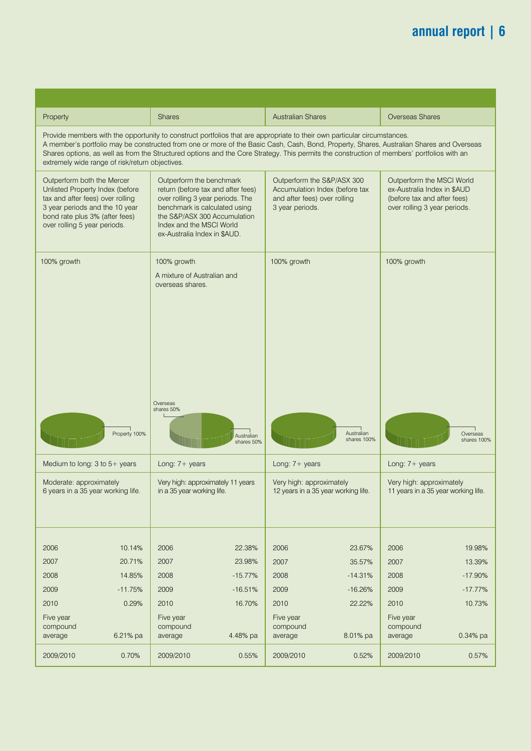# **annual report | 6**

| Overseas Shares                                                                                                         | <b>Australian Shares</b>                                                                                                                                                                                                                                                                                                                                                                                           | Shares                                                                                                                                                                                                                          | Property                                                                                                                                                                                              |
|-------------------------------------------------------------------------------------------------------------------------|--------------------------------------------------------------------------------------------------------------------------------------------------------------------------------------------------------------------------------------------------------------------------------------------------------------------------------------------------------------------------------------------------------------------|---------------------------------------------------------------------------------------------------------------------------------------------------------------------------------------------------------------------------------|-------------------------------------------------------------------------------------------------------------------------------------------------------------------------------------------------------|
|                                                                                                                         | Provide members with the opportunity to construct portfolios that are appropriate to their own particular circumstances.<br>A member's portfolio may be constructed from one or more of the Basic Cash, Cash, Bond, Property, Shares, Australian Shares and Overseas<br>Shares options, as well as from the Structured options and the Core Strategy. This permits the construction of members' portfolios with an |                                                                                                                                                                                                                                 | extremely wide range of risk/return objectives.                                                                                                                                                       |
| Outperform the MSCI World<br>ex-Australia Index in \$AUD<br>(before tax and after fees)<br>over rolling 3 year periods. | Outperform the S&P/ASX 300<br>Accumulation Index (before tax<br>and after fees) over rolling<br>3 year periods.                                                                                                                                                                                                                                                                                                    | Outperform the benchmark<br>return (before tax and after fees)<br>over rolling 3 year periods. The<br>benchmark is calculated using<br>the S&P/ASX 300 Accumulation<br>Index and the MSCI World<br>ex-Australia Index in \$AUD. | Outperform both the Mercer<br>Unlisted Property Index (before<br>tax and after fees) over rolling<br>3 year periods and the 10 year<br>bond rate plus 3% (after fees)<br>over rolling 5 year periods. |
| 100% growth                                                                                                             | 100% growth                                                                                                                                                                                                                                                                                                                                                                                                        | 100% growth<br>A mixture of Australian and<br>overseas shares.                                                                                                                                                                  | 100% growth                                                                                                                                                                                           |
|                                                                                                                         |                                                                                                                                                                                                                                                                                                                                                                                                                    |                                                                                                                                                                                                                                 |                                                                                                                                                                                                       |
| Overseas<br>shares 100%                                                                                                 | Australian<br>shares 100%                                                                                                                                                                                                                                                                                                                                                                                          | Overseas<br>shares 50%<br>Australian<br>shares 50%                                                                                                                                                                              | Property 100%                                                                                                                                                                                         |
| Long: 7+ years                                                                                                          | Long: 7+ years                                                                                                                                                                                                                                                                                                                                                                                                     | Long: 7+ years                                                                                                                                                                                                                  | Medium to long: $3$ to $5+$ years                                                                                                                                                                     |
| Very high: approximately<br>11 years in a 35 year working life.                                                         | Very high: approximately<br>12 years in a 35 year working life.                                                                                                                                                                                                                                                                                                                                                    | Very high: approximately 11 years<br>in a 35 year working life.                                                                                                                                                                 | Moderate: approximately<br>6 years in a 35 year working life.                                                                                                                                         |
| 19.98%<br>2006                                                                                                          | 2006<br>23.67%                                                                                                                                                                                                                                                                                                                                                                                                     | 2006<br>22.38%                                                                                                                                                                                                                  | 10.14%<br>2006                                                                                                                                                                                        |
| 2007<br>13.39%                                                                                                          | 2007<br>35.57%                                                                                                                                                                                                                                                                                                                                                                                                     | 2007<br>23.98%                                                                                                                                                                                                                  | 2007<br>20.71%                                                                                                                                                                                        |
| $-17.90%$<br>2008                                                                                                       | 2008<br>$-14.31%$                                                                                                                                                                                                                                                                                                                                                                                                  | 2008<br>$-15.77%$                                                                                                                                                                                                               | 14.85%                                                                                                                                                                                                |
| $-17.77%$<br>2009                                                                                                       | 2009<br>$-16.26%$                                                                                                                                                                                                                                                                                                                                                                                                  | 2009<br>$-16.51%$                                                                                                                                                                                                               | $-11.75%$                                                                                                                                                                                             |
| 10.73%<br>2010                                                                                                          | 22.22%<br>2010                                                                                                                                                                                                                                                                                                                                                                                                     | 2010<br>16.70%                                                                                                                                                                                                                  | 2008<br>2009<br>2010<br>0.29%                                                                                                                                                                         |
| Five year<br>compound<br>0.34% pa<br>average                                                                            | Five year<br>compound<br>8.01% pa<br>average                                                                                                                                                                                                                                                                                                                                                                       | Five year<br>compound<br>4.48% pa<br>average                                                                                                                                                                                    | Five year<br>compound<br>6.21% pa<br>average                                                                                                                                                          |
| 2009/2010<br>0.57%                                                                                                      | 2009/2010<br>0.52%                                                                                                                                                                                                                                                                                                                                                                                                 | 2009/2010<br>0.55%                                                                                                                                                                                                              | 2009/2010<br>0.70%                                                                                                                                                                                    |